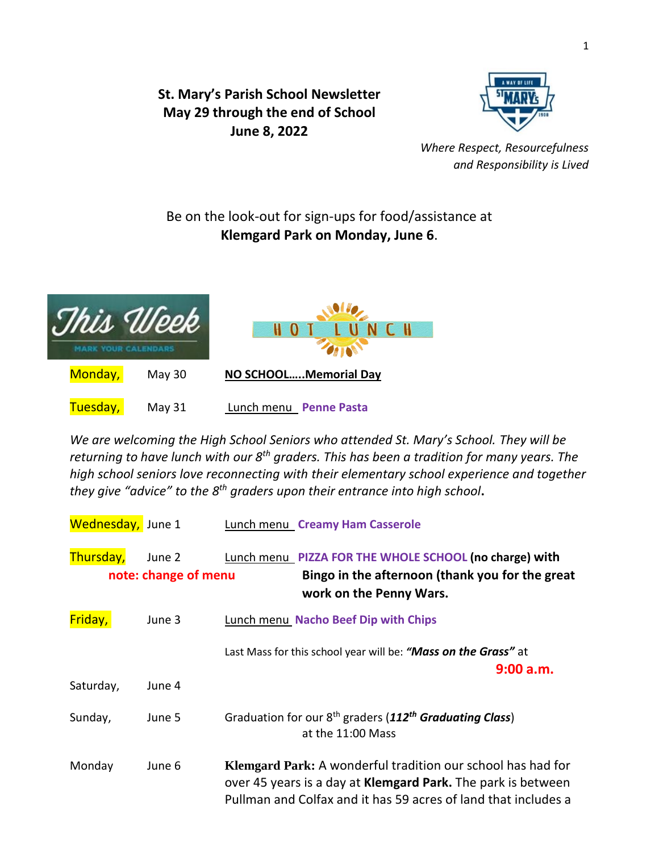**St. Mary's Parish School Newsletter May 29 through the end of School June 8, 2022**



*Where Respect, Resourcefulness and Responsibility is Lived* 

## Be on the look-out for sign-ups for food/assistance at **Klemgard Park on Monday, June 6**.



*We are welcoming the High School Seniors who attended St. Mary's School. They will be returning to have lunch with our 8th graders. This has been a tradition for many years. The high school seniors love reconnecting with their elementary school experience and together they give "advice" to the 8 th graders upon their entrance into high school***.**

| Wednesday, June 1 |                                | <b>Lunch menu Creamy Ham Casserole</b>                                                                                                                                                               |
|-------------------|--------------------------------|------------------------------------------------------------------------------------------------------------------------------------------------------------------------------------------------------|
| Thursday,         | June 2<br>note: change of menu | Lunch menu PIZZA FOR THE WHOLE SCHOOL (no charge) with<br>Bingo in the afternoon (thank you for the great<br>work on the Penny Wars.                                                                 |
| Friday,           | June 3                         | <b>Lunch menu Nacho Beef Dip with Chips</b>                                                                                                                                                          |
|                   |                                | Last Mass for this school year will be: "Mass on the Grass" at<br>9:00 a.m.                                                                                                                          |
| Saturday,         | June 4                         |                                                                                                                                                                                                      |
| Sunday,           | June 5                         | Graduation for our 8 <sup>th</sup> graders (112 <sup>th</sup> Graduating Class)<br>at the 11:00 Mass                                                                                                 |
| Monday            | June 6                         | Klemgard Park: A wonderful tradition our school has had for<br>over 45 years is a day at <b>Klemgard Park.</b> The park is between<br>Pullman and Colfax and it has 59 acres of land that includes a |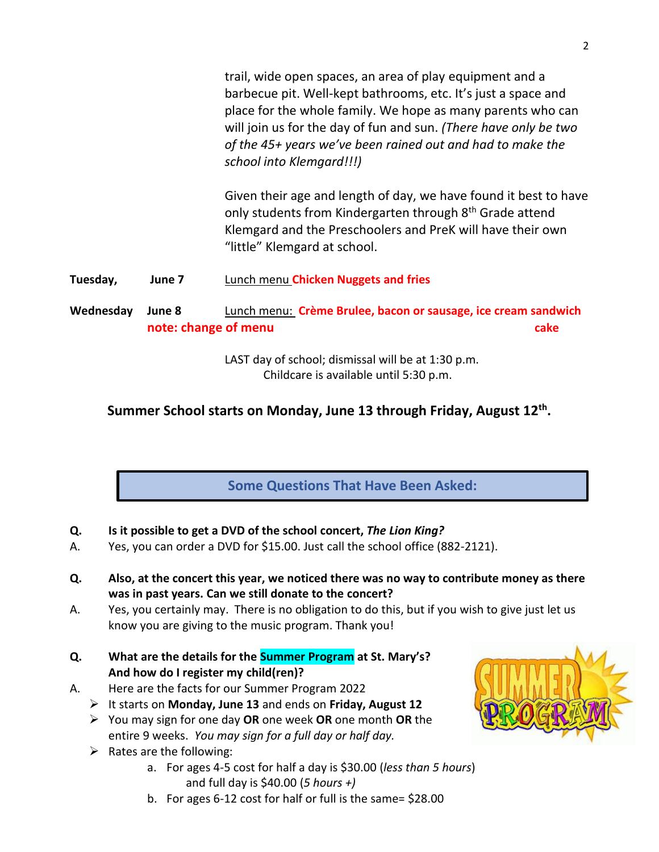trail, wide open spaces, an area of play equipment and a barbecue pit. Well-kept bathrooms, etc. It's just a space and place for the whole family. We hope as many parents who can will join us for the day of fun and sun. *(There have only be two of the 45+ years we've been rained out and had to make the school into Klemgard!!!)*

Given their age and length of day, we have found it best to have only students from Kindergarten through 8<sup>th</sup> Grade attend Klemgard and the Preschoolers and PreK will have their own "little" Klemgard at school.

**Tuesday, June 7** Lunch menu **Chicken Nuggets and fries**

## **Wednesday June 8** Lunch menu: **Crème Brulee, bacon or sausage, ice cream sandwich note: change of menu cake**

LAST day of school; dismissal will be at 1:30 p.m. Childcare is available until 5:30 p.m.

## **Summer School starts on Monday, June 13 through Friday, August 12th .**

**Some Questions That Have Been Asked:**

- **Q. Is it possible to get a DVD of the school concert,** *The Lion King?*
- A. Yes, you can order a DVD for \$15.00. Just call the school office (882-2121).
- **Q. Also, at the concert this year, we noticed there was no way to contribute money as there was in past years. Can we still donate to the concert?**
- A. Yes, you certainly may. There is no obligation to do this, but if you wish to give just let us know you are giving to the music program. Thank you!
- **Q. What are the details for the Summer Program at St. Mary's? And how do I register my child(ren)?**
- A. Here are the facts for our Summer Program 2022
	- ➢ It starts on **Monday, June 13** and ends on **Friday, August 12**
		- ➢ You may sign for one day **OR** one week **OR** one month **OR** the entire 9 weeks. *You may sign for a full day or half day.*
		- $\triangleright$  Rates are the following:
			- a. For ages 4-5 cost for half a day is \$30.00 (*less than 5 hours*) and full day is \$40.00 (*5 hours +)*
			- b. For ages 6-12 cost for half or full is the same= \$28.00